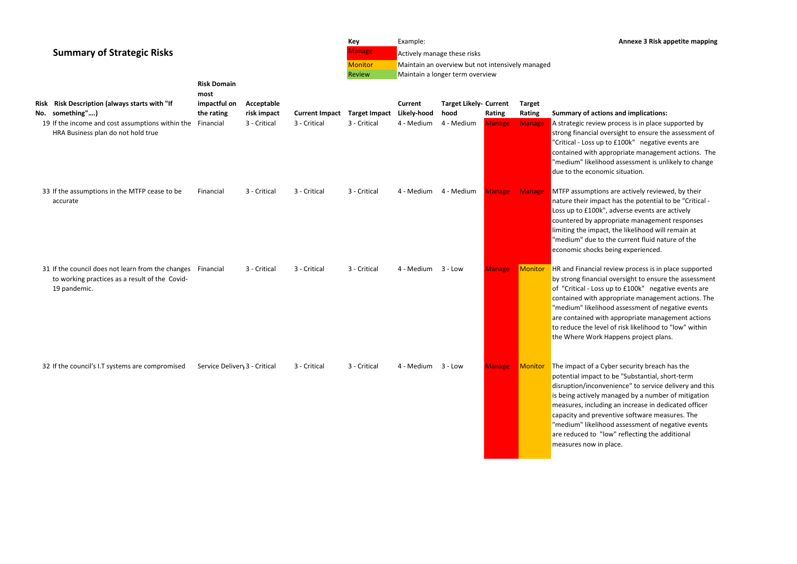## **Key** Example: **Annexe 3 Risk appetite mapping**

## **Rightary Summary Summary Summary Summary Summary Summary Summary Summary Summary Summary Summary Summary Summary**

ew process is in place supported by oversight to ensure the assessment of p to £100k" negative events are appropriate management actions. The hood assessment is unlikely to change omic situation.

ons are actively reviewed, by their pact has the potential to be "Critical k", adverse events are actively opropriate management responses act, the likelihood will remain at to the current fluid nature of the s being experienced.

review process is in place supported cial oversight to ensure the assessment ss up to £100k" negative events are appropriate management actions. The hood assessment of negative events vith appropriate management actions vel of risk likelihood to "low" within k Happens project plans.

Cyber security breach has the to be "Substantial, short-term nvenience" to service delivery and this managed by a number of mitigation ding an increase in dedicated officer eventive software measures. The hood assessment of negative events "low" reflecting the additional in place.

| <b>Summary of Strategic Risks</b><br>Risk Risk Description (always starts with "If<br>No. something")               | <b>Risk Domain</b><br>most<br>impactful on<br>the rating | Acceptable<br>risk impact | <b>Current Impact</b> | Key<br><b>Manage</b><br><b>Monitor</b><br>Review<br><b>Target Impact</b> | Example:<br><b>Current</b><br>Likely-hood | Actively manage these risks<br>Maintain an overview but not intensively managed<br>Maintain a longer term overview<br><b>Target Likely- Current</b><br>hood | Rating        | <b>Target</b><br>Rating | <b>Summary of acti</b>                                                                                                                                                          |
|---------------------------------------------------------------------------------------------------------------------|----------------------------------------------------------|---------------------------|-----------------------|--------------------------------------------------------------------------|-------------------------------------------|-------------------------------------------------------------------------------------------------------------------------------------------------------------|---------------|-------------------------|---------------------------------------------------------------------------------------------------------------------------------------------------------------------------------|
| 19 If the income and cost assumptions within the<br>HRA Business plan do not hold true                              | Financial                                                | 3 - Critical              | 3 - Critical          | 3 - Critical                                                             | 4 - Medium                                | 4 - Medium                                                                                                                                                  | <b>Manage</b> | <b>Manage</b>           | A strategic revie<br>strong financial<br>"Critical - Loss up<br>contained with a<br>"medium" likelih<br>due to the econd                                                        |
| 33 If the assumptions in the MTFP cease to be<br>accurate                                                           | Financial                                                | 3 - Critical              | 3 - Critical          | 3 - Critical                                                             | 4 - Medium                                | 4 - Medium                                                                                                                                                  | <b>Manage</b> | <b>Manage</b>           | <b>MTFP</b> assumptio<br>nature their imp<br>Loss up to £100k<br>countered by ap<br>limiting the impa<br>"medium" due t<br>economic shocks                                      |
| 31 If the council does not learn from the changes<br>to working practices as a result of the Covid-<br>19 pandemic. | Financial                                                | 3 - Critical              | 3 - Critical          | 3 - Critical                                                             | 4 - Medium                                | $3 - Low$                                                                                                                                                   | <b>Manage</b> | Monitor                 | <b>HR</b> and Financial<br>by strong financi<br>of "Critical - Los<br>contained with a<br>"medium" likelih<br>are contained w<br>to reduce the lev<br>the Where Work            |
| 32 If the council's I.T systems are compromised                                                                     | Service Delivery 3 - Critical                            |                           | 3 - Critical          | 3 - Critical                                                             | 4 - Medium                                | $3 - Low$                                                                                                                                                   | <b>Manage</b> | Monitor                 | The impact of a<br>potential impact<br>disruption/incon<br>is being actively<br>measures, includ<br>capacity and pre<br>"medium" likelih<br>are reduced to '<br>measures now ir |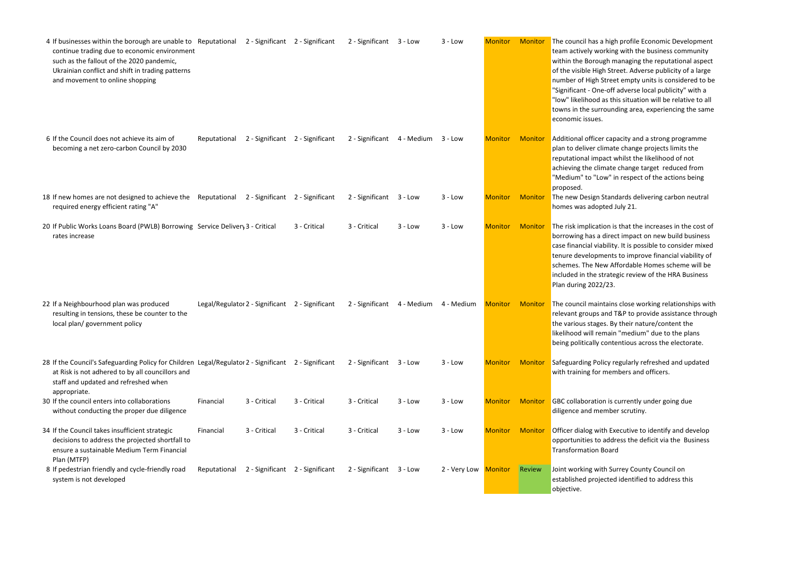| 4 If businesses within the borough are unable to Reputational 2 - Significant 2 - Significant<br>continue trading due to economic environment<br>such as the fallout of the 2020 pandemic,<br>Ukrainian conflict and shift in trading patterns<br>and movement to online shopping |              |                                                 |              | 2 - Significant 3 - Low |                    | $3 - Low$    | <b>Monitor</b> | Monitor        | The council has a<br>team actively wo<br>within the Borou<br>of the visible Hig<br>number of High !<br>"Significant - One<br>"low" likelihood<br>towns in the surr<br>economic issues. |
|-----------------------------------------------------------------------------------------------------------------------------------------------------------------------------------------------------------------------------------------------------------------------------------|--------------|-------------------------------------------------|--------------|-------------------------|--------------------|--------------|----------------|----------------|----------------------------------------------------------------------------------------------------------------------------------------------------------------------------------------|
| 6 If the Council does not achieve its aim of<br>becoming a net zero-carbon Council by 2030                                                                                                                                                                                        | Reputational | 2 - Significant 2 - Significant                 |              | 2 - Significant         | 4 - Medium 3 - Low |              | <b>Monitor</b> | <b>Monitor</b> | Additional office<br>plan to deliver cl<br>reputational imp<br>achieving the clir<br>"Medium" to "Lo<br>proposed.                                                                      |
| 18 If new homes are not designed to achieve the Reputational 2 - Significant 2 - Significant<br>required energy efficient rating "A"                                                                                                                                              |              |                                                 |              | 2 - Significant         | $3 - Low$          | $3 - Low$    | <b>Monitor</b> | <b>Monitor</b> | The new Design :<br>homes was adop                                                                                                                                                     |
| 20 If Public Works Loans Board (PWLB) Borrowing Service Delivery 3 - Critical<br>rates increase                                                                                                                                                                                   |              |                                                 | 3 - Critical | 3 - Critical            | $3 - Low$          | $3 - Low$    | <b>Monitor</b> | <b>Monitor</b> | The risk implicati<br>borrowing has a<br>case financial via<br>tenure developm<br>schemes. The Ne<br>included in the st<br>Plan during 2022                                            |
| 22 If a Neighbourhood plan was produced<br>resulting in tensions, these be counter to the<br>local plan/ government policy                                                                                                                                                        |              | Legal/Regulator 2 - Significant 2 - Significant |              | 2 - Significant         | 4 - Medium         | 4 - Medium   | <b>Monitor</b> | <b>Monitor</b> | The council main<br>relevant groups a<br>the various stage<br>likelihood will re<br>being politically o                                                                                |
| 28 If the Council's Safeguarding Policy for Children Legal/Regulator 2 - Significant 2 - Significant<br>at Risk is not adhered to by all councillors and<br>staff and updated and refreshed when                                                                                  |              |                                                 |              | 2 - Significant         | 3 - Low            | $3 - Low$    | <b>Monitor</b> | <b>Monitor</b> | Safeguarding Pol<br>with training for                                                                                                                                                  |
| appropriate.<br>30 If the council enters into collaborations<br>without conducting the proper due diligence                                                                                                                                                                       | Financial    | 3 - Critical                                    | 3 - Critical | 3 - Critical            | $3 - Low$          | $3 - Low$    | <b>Monitor</b> | <b>Monitor</b> | <b>GBC</b> collaboratio<br>diligence and me                                                                                                                                            |
| 34 If the Council takes insufficient strategic<br>decisions to address the projected shortfall to<br>ensure a sustainable Medium Term Financial<br>Plan (MTFP)                                                                                                                    | Financial    | 3 - Critical                                    | 3 - Critical | 3 - Critical            | $3 - Low$          | $3 - Low$    | <b>Monitor</b> | <b>Monitor</b> | Officer dialog wit<br>opportunities to<br><b>Transformation I</b>                                                                                                                      |
| 8 If pedestrian friendly and cycle-friendly road<br>system is not developed                                                                                                                                                                                                       | Reputational | 2 - Significant 2 - Significant                 |              | 2 - Significant         | $3 - Low$          | 2 - Very Low | <b>Monitor</b> | Review         | Joint working wit<br>established proje<br>objective.                                                                                                                                   |

a high profile Economic Development orking with the business community ugh managing the reputational aspect gh Street. Adverse publicity of a large Street empty units is considered to be e-off adverse local publicity" with a l as this situation will be relative to all rounding area, experiencing the same

er capacity and a strong programme limate change projects limits the pact whilst the likelihood of not imate change target reduced from ow" in respect of the actions being

Standards delivering carbon neutral oted July 21.

ion is that the increases in the cost of direct impact on new build business ability. It is possible to consider mixed ments to improve financial viability of ew Affordable Homes scheme will be strategic review of the HRA Business  $2/23.$ 

ntains close working relationships with and T&P to provide assistance through es. By their nature/content the emain "medium" due to the plans contentious across the electorate.

blicy regularly refreshed and updated members and officers.

on is currently under going due ember scrutiny.

ith Executive to identify and develop address the deficit via the Business Board

ith Surrey County Council on ected identified to address this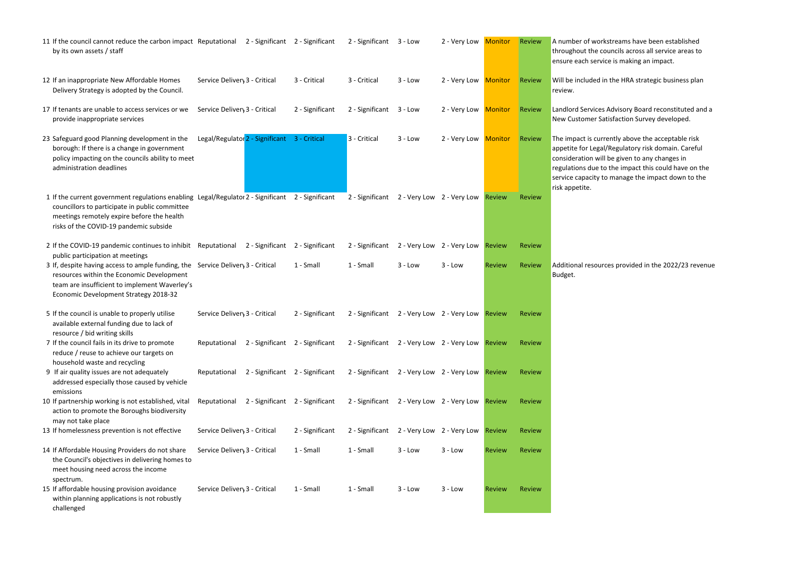| 11 If the council cannot reduce the carbon impact Reputational 2 - Significant 2 - Significant<br>by its own assets / staff                                                                                                                                |                               |                                              |                 | 2 - Significant                                  | $3 - Low$ | 2 - Very Low              | <b>Monitor</b> | Review        | A number of wo<br>throughout the<br>ensure each ser                                                              |
|------------------------------------------------------------------------------------------------------------------------------------------------------------------------------------------------------------------------------------------------------------|-------------------------------|----------------------------------------------|-----------------|--------------------------------------------------|-----------|---------------------------|----------------|---------------|------------------------------------------------------------------------------------------------------------------|
| 12 If an inappropriate New Affordable Homes<br>Delivery Strategy is adopted by the Council.                                                                                                                                                                | Service Delivery 3 - Critical |                                              | 3 - Critical    | 3 - Critical                                     | $3 - Low$ | 2 - Very Low Monitor      |                | <b>Review</b> | Will be included<br>review.                                                                                      |
| 17 If tenants are unable to access services or we<br>provide inappropriate services                                                                                                                                                                        | Service Delivery 3 - Critical |                                              | 2 - Significant | 2 - Significant                                  | $3 - Low$ | 2 - Very Low              | <b>Monitor</b> | Review        | Landlord Service<br>New Customer 9                                                                               |
| 23 Safeguard good Planning development in the<br>borough: If there is a change in government<br>policy impacting on the councils ability to meet<br>administration deadlines                                                                               |                               | Legal/Regulator 2 - Significant 3 - Critical |                 | 3 - Critical                                     | $3 - Low$ | 2 - Very Low              | <b>Monitor</b> | Review        | The impact is cu<br>appetite for Leg<br>consideration w<br>regulations due<br>service capacity<br>risk appetite. |
| 1 If the current government regulations enabling Legal/Regulator 2 - Significant 2 - Significant<br>councillors to participate in public committee<br>meetings remotely expire before the health<br>risks of the COVID-19 pandemic subside                 |                               |                                              |                 | 2 - Significant                                  |           | 2 - Very Low 2 - Very Low | <b>Review</b>  | Review        |                                                                                                                  |
| 2 If the COVID-19 pandemic continues to inhibit Reputational 2 - Significant 2 - Significant                                                                                                                                                               |                               |                                              |                 | 2 - Significant                                  |           | 2 - Very Low 2 - Very Low | <b>Review</b>  | <b>Review</b> |                                                                                                                  |
| public participation at meetings<br>3 If, despite having access to ample funding, the Service Delivery 3 - Critical<br>resources within the Economic Development<br>team are insufficient to implement Waverley's<br>Economic Development Strategy 2018-32 |                               |                                              | 1 - Small       | 1 - Small                                        | $3 - Low$ | $3 - Low$                 | <b>Review</b>  | <b>Review</b> | <b>Additional resou</b><br>Budget.                                                                               |
| 5 If the council is unable to properly utilise<br>available external funding due to lack of<br>resource / bid writing skills                                                                                                                               | Service Delivery 3 - Critical |                                              | 2 - Significant | 2 - Significant                                  |           | 2 - Very Low 2 - Very Low | <b>Review</b>  | <b>Review</b> |                                                                                                                  |
| 7 If the council fails in its drive to promote<br>reduce / reuse to achieve our targets on<br>household waste and recycling                                                                                                                                |                               | Reputational 2 - Significant 2 - Significant |                 | 2 - Significant 2 - Very Low 2 - Very Low Review |           |                           |                | <b>Review</b> |                                                                                                                  |
| 9 If air quality issues are not adequately<br>addressed especially those caused by vehicle                                                                                                                                                                 | Reputational                  | 2 - Significant 2 - Significant              |                 | 2 - Significant 2 - Very Low 2 - Very Low        |           |                           | <b>Review</b>  | <b>Review</b> |                                                                                                                  |
| emissions<br>10 If partnership working is not established, vital<br>action to promote the Boroughs biodiversity<br>may not take place                                                                                                                      | Reputational                  | 2 - Significant 2 - Significant              |                 | 2 - Significant                                  |           | 2 - Very Low 2 - Very Low | <b>Review</b>  | <b>Review</b> |                                                                                                                  |
| 13 If homelessness prevention is not effective                                                                                                                                                                                                             | Service Delivery 3 - Critical |                                              | 2 - Significant | 2 - Significant                                  |           | 2 - Very Low 2 - Very Low | <b>Review</b>  | <b>Review</b> |                                                                                                                  |
| 14 If Affordable Housing Providers do not share<br>the Council's objectives in delivering homes to<br>meet housing need across the income<br>spectrum.                                                                                                     | Service Delivery 3 - Critical |                                              | 1 - Small       | 1 - Small                                        | $3 - Low$ | $3 - Low$                 | <b>Review</b>  | Review        |                                                                                                                  |
| 15 If affordable housing provision avoidance<br>within planning applications is not robustly<br>challenged                                                                                                                                                 | Service Delivery 3 - Critical |                                              | 1 - Small       | 1 - Small                                        | $3 - Low$ | $3 - Low$                 | <b>Review</b>  | <b>Review</b> |                                                                                                                  |

orkstreams have been established councils across all service areas to vice is making an impact.

d in the HRA strategic business plan

es Advisory Board reconstituted and a Satisfaction Survey developed.

arrently above the acceptable risk gal/Regulatory risk domain. Careful vill be given to any changes in to the impact this could have on the  $\alpha$  to manage the impact down to the

urces provided in the 2022/23 revenue